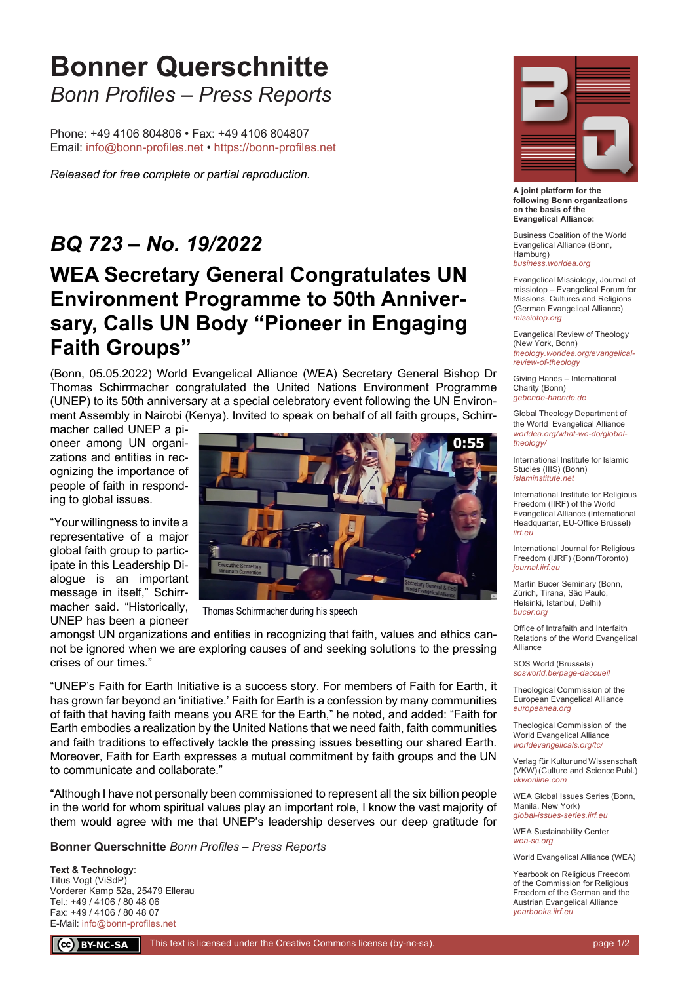# **Bonner Querschnitte** *Bonn Profiles – Press Reports*

Phone: +49 4106 804806 • Fax: +49 4106 804807 Email: info@bonn-profiles.net • https://bonn-profiles.net

*Released for free complete or partial reproduction.*

### *BQ 723 – No. 19/2022*

## **WEA Secretary General Congratulates UN Environment Programme to 50th Anniversary, Calls UN Body "Pioneer in Engaging Faith Groups"**

(Bonn, 05.05.2022) World Evangelical Alliance (WEA) Secretary General Bishop Dr Thomas Schirrmacher congratulated the United Nations Environment Programme (UNEP) to its 50th anniversary at a special celebratory event following the UN Environment Assembly in Nairobi (Kenya). Invited to speak on behalf of all faith groups, Schirr-

macher called UNEP a pioneer among UN organizations and entities in recognizing the importance of people of faith in responding to global issues.

"Your willingness to invite a representative of a major global faith group to participate in this Leadership Dialogue is an important message in itself," Schirrmacher said. "Historically, UNEP has been a pioneer



Thomas Schirrmacher during his speech

amongst UN organizations and entities in recognizing that faith, values and ethics cannot be ignored when we are exploring causes of and seeking solutions to the pressing crises of our times."

"UNEP's Faith for Earth Initiative is a success story. For members of Faith for Earth, it has grown far beyond an 'initiative.' Faith for Earth is a confession by many communities of faith that having faith means you ARE for the Earth," he noted, and added: "Faith for Earth embodies a realization by the United Nations that we need faith, faith communities and faith traditions to effectively tackle the pressing issues besetting our shared Earth. Moreover, Faith for Earth expresses a mutual commitment by faith groups and the UN to communicate and collaborate."

"Although I have not personally been commissioned to represent all the six billion people in the world for whom spiritual values play an important role, I know the vast majority of them would agree with me that UNEP's leadership deserves our deep gratitude for

**Bonner Querschnitte** *Bonn Profiles – Press Reports*

**Text & Technology**: Titus Vogt (ViSdP) Vorderer Kamp 52a, 25479 Ellerau Tel.: +49 / 4106 / 80 48 06 Fax: +49 / 4106 / 80 48 07 E-Mail: info@bonn-profiles.net



**A joint platform for the following Bonn organizations on the basis of the Evangelical Alliance:**

Business Coalition of the World Evangelical Alliance (Bonn, Hamburg) *business.worldea.org*

Evangelical Missiology, Journal of missiotop – Evangelical Forum for Missions, Cultures and Religions (German Evangelical Alliance) *missiotop.org*

Evangelical Review of Theology (New York, Bonn) *theology.worldea.org/evangelicalreview-of-theology*

Giving Hands – International Charity (Bonn) *gebende-haende.de*

Global Theology Department of the World Evangelical Alliance *worldea.org/what-we-do/globaltheology/*

International Institute for Islamic Studies (IIIS) (Bonn) *islaminstitute.net*

International Institute for Religious Freedom (IIRF) of the World Evangelical Alliance (International Headquarter, EU-Office Brüssel) *iirf.eu*

International Journal for Religious Freedom (IJRF) (Bonn/Toronto) *journal.iirf.eu*

Martin Bucer Seminary (Bonn, Zürich, Tirana, São Paulo, Helsinki, Istanbul, Delhi) *bucer.org*

Office of Intrafaith and Interfaith Relations of the World Evangelical Alliance

SOS World (Brussels) *sosworld.be/page-daccueil*

Theological Commission of the European Evangelical Alliance *europeanea.org*

Theological Commission of the World Evangelical Alliance *worldevangelicals.org/tc/*

Verlag für Kultur und Wissenschaft (VKW) (Culture and Science Publ.) *vkwonline.com*

WEA Global Issues Series (Bonn, Manila, New York) *global-issues-series.iirf.eu*

WEA Sustainability Center *wea-sc.org*

World Evangelical Alliance (WEA)

Yearbook on Religious Freedom of the Commission for Religious Freedom of the German and the Austrian Evangelical Alliance *yearbooks.iirf.eu*

CC BY-NC-SA